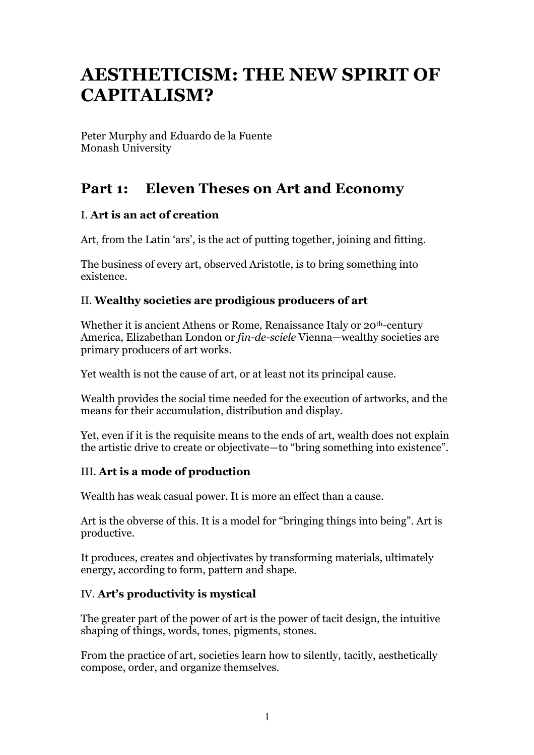# **AESTHETICISM: THE NEW SPIRIT OF CAPITALISM?**

Peter Murphy and Eduardo de la Fuente Monash University

## **Part 1: Eleven Theses on Art and Economy**

## I. **Art is an act of creation**

Art, from the Latin 'ars', is the act of putting together, joining and fitting.

The business of every art, observed Aristotle, is to bring something into existence.

## II. **Wealthy societies are prodigious producers of art**

Whether it is ancient Athens or Rome, Renaissance Italy or 20<sup>th</sup>-century America, Elizabethan London or *fin-de-sciele* Vienna—wealthy societies are primary producers of art works.

Yet wealth is not the cause of art, or at least not its principal cause.

Wealth provides the social time needed for the execution of artworks, and the means for their accumulation, distribution and display.

Yet, even if it is the requisite means to the ends of art, wealth does not explain the artistic drive to create or objectivate—to "bring something into existence".

## III. **Art is a mode of production**

Wealth has weak casual power. It is more an effect than a cause.

Art is the obverse of this. It is a model for "bringing things into being". Art is productive.

It produces, creates and objectivates by transforming materials, ultimately energy, according to form, pattern and shape.

#### IV. **Art's productivity is mystical**

The greater part of the power of art is the power of tacit design, the intuitive shaping of things, words, tones, pigments, stones.

From the practice of art, societies learn how to silently, tacitly, aesthetically compose, order, and organize themselves.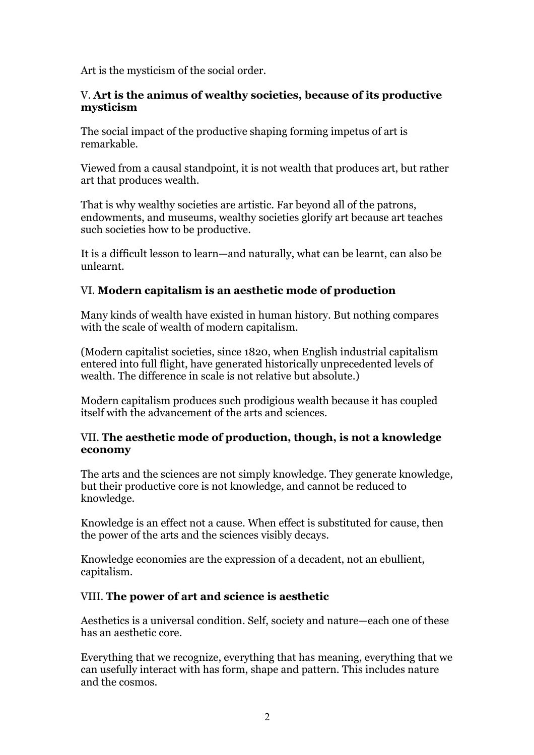Art is the mysticism of the social order.

#### V. **Art is the animus of wealthy societies, because of its productive mysticism**

The social impact of the productive shaping forming impetus of art is remarkable.

Viewed from a causal standpoint, it is not wealth that produces art, but rather art that produces wealth.

That is why wealthy societies are artistic. Far beyond all of the patrons, endowments, and museums, wealthy societies glorify art because art teaches such societies how to be productive.

It is a difficult lesson to learn—and naturally, what can be learnt, can also be unlearnt.

## VI. **Modern capitalism is an aesthetic mode of production**

Many kinds of wealth have existed in human history. But nothing compares with the scale of wealth of modern capitalism.

(Modern capitalist societies, since 1820, when English industrial capitalism entered into full flight, have generated historically unprecedented levels of wealth. The difference in scale is not relative but absolute.)

Modern capitalism produces such prodigious wealth because it has coupled itself with the advancement of the arts and sciences.

#### VII. **The aesthetic mode of production, though, is not a knowledge economy**

The arts and the sciences are not simply knowledge. They generate knowledge, but their productive core is not knowledge, and cannot be reduced to knowledge.

Knowledge is an effect not a cause. When effect is substituted for cause, then the power of the arts and the sciences visibly decays.

Knowledge economies are the expression of a decadent, not an ebullient, capitalism.

#### VIII. **The power of art and science is aesthetic**

Aesthetics is a universal condition. Self, society and nature—each one of these has an aesthetic core.

Everything that we recognize, everything that has meaning, everything that we can usefully interact with has form, shape and pattern. This includes nature and the cosmos.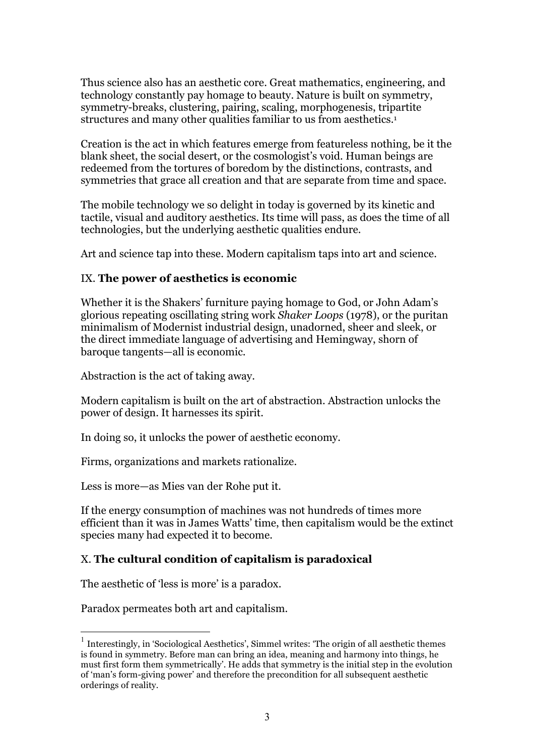Thus science also has an aesthetic core. Great mathematics, engineering, and technology constantly pay homage to beauty. Nature is built on symmetry, symmetry-breaks, clustering, pairing, scaling, morphogenesis, tripartite structures and many other qualities familiar to us from aesthetics.<sup>1</sup>

Creation is the act in which features emerge from featureless nothing, be it the blank sheet, the social desert, or the cosmologist's void. Human beings are redeemed from the tortures of boredom by the distinctions, contrasts, and symmetries that grace all creation and that are separate from time and space.

The mobile technology we so delight in today is governed by its kinetic and tactile, visual and auditory aesthetics. Its time will pass, as does the time of all technologies, but the underlying aesthetic qualities endure.

Art and science tap into these. Modern capitalism taps into art and science.

#### IX. **The power of aesthetics is economic**

Whether it is the Shakers' furniture paying homage to God, or John Adam's glorious repeating oscillating string work *Shaker Loops* (1978), or the puritan minimalism of Modernist industrial design, unadorned, sheer and sleek, or the direct immediate language of advertising and Hemingway, shorn of baroque tangents—all is economic.

Abstraction is the act of taking away.

Modern capitalism is built on the art of abstraction. Abstraction unlocks the power of design. It harnesses its spirit.

In doing so, it unlocks the power of aesthetic economy.

Firms, organizations and markets rationalize.

Less is more—as Mies van der Rohe put it.

If the energy consumption of machines was not hundreds of times more efficient than it was in James Watts' time, then capitalism would be the extinct species many had expected it to become.

#### X. **The cultural condition of capitalism is paradoxical**

The aesthetic of 'less is more' is a paradox.

Paradox permeates both art and capitalism.

<sup>&</sup>lt;sup>1</sup> Interestingly, in 'Sociological Aesthetics', Simmel writes: 'The origin of all aesthetic themes is found in symmetry. Before man can bring an idea, meaning and harmony into things, he must first form them symmetrically'. He adds that symmetry is the initial step in the evolution of 'man's form-giving power' and therefore the precondition for all subsequent aesthetic orderings of reality.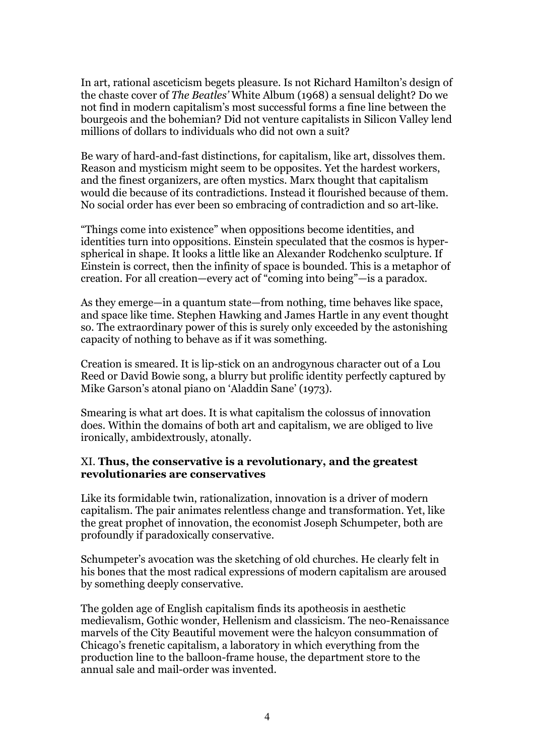In art, rational asceticism begets pleasure. Is not Richard Hamilton's design of the chaste cover of *The Beatles'* White Album (1968) a sensual delight? Do we not find in modern capitalism's most successful forms a fine line between the bourgeois and the bohemian? Did not venture capitalists in Silicon Valley lend millions of dollars to individuals who did not own a suit?

Be wary of hard-and-fast distinctions, for capitalism, like art, dissolves them. Reason and mysticism might seem to be opposites. Yet the hardest workers, and the finest organizers, are often mystics. Marx thought that capitalism would die because of its contradictions. Instead it flourished because of them. No social order has ever been so embracing of contradiction and so art-like.

"Things come into existence" when oppositions become identities, and identities turn into oppositions. Einstein speculated that the cosmos is hyperspherical in shape. It looks a little like an Alexander Rodchenko sculpture. If Einstein is correct, then the infinity of space is bounded. This is a metaphor of creation. For all creation—every act of "coming into being"—is a paradox.

As they emerge—in a quantum state—from nothing, time behaves like space, and space like time. Stephen Hawking and James Hartle in any event thought so. The extraordinary power of this is surely only exceeded by the astonishing capacity of nothing to behave as if it was something.

Creation is smeared. It is lip-stick on an androgynous character out of a Lou Reed or David Bowie song, a blurry but prolific identity perfectly captured by Mike Garson's atonal piano on 'Aladdin Sane' (1973).

Smearing is what art does. It is what capitalism the colossus of innovation does. Within the domains of both art and capitalism, we are obliged to live ironically, ambidextrously, atonally.

#### XI. **Thus, the conservative is a revolutionary, and the greatest revolutionaries are conservatives**

Like its formidable twin, rationalization, innovation is a driver of modern capitalism. The pair animates relentless change and transformation. Yet, like the great prophet of innovation, the economist Joseph Schumpeter, both are profoundly if paradoxically conservative.

Schumpeter's avocation was the sketching of old churches. He clearly felt in his bones that the most radical expressions of modern capitalism are aroused by something deeply conservative.

The golden age of English capitalism finds its apotheosis in aesthetic medievalism, Gothic wonder, Hellenism and classicism. The neo-Renaissance marvels of the City Beautiful movement were the halcyon consummation of Chicago's frenetic capitalism, a laboratory in which everything from the production line to the balloon-frame house, the department store to the annual sale and mail-order was invented.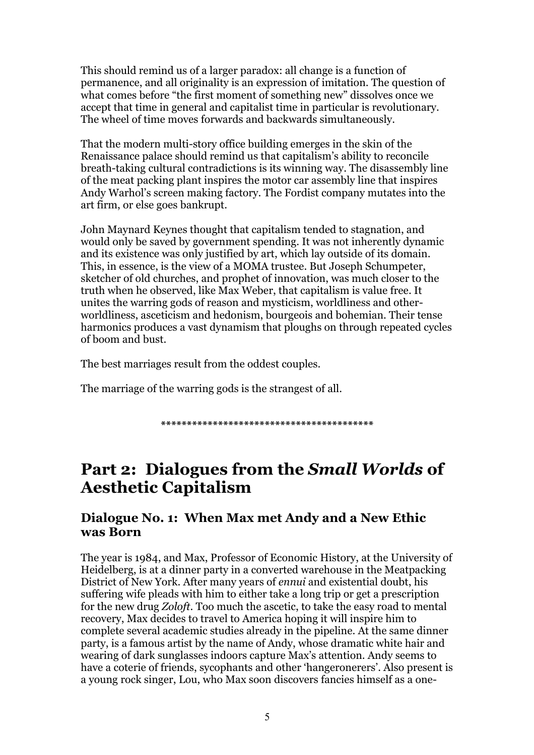This should remind us of a larger paradox: all change is a function of permanence, and all originality is an expression of imitation. The question of what comes before "the first moment of something new" dissolves once we accept that time in general and capitalist time in particular is revolutionary. The wheel of time moves forwards and backwards simultaneously.

That the modern multi-story office building emerges in the skin of the Renaissance palace should remind us that capitalism's ability to reconcile breath-taking cultural contradictions is its winning way. The disassembly line of the meat packing plant inspires the motor car assembly line that inspires Andy Warhol's screen making factory. The Fordist company mutates into the art firm, or else goes bankrupt.

John Maynard Keynes thought that capitalism tended to stagnation, and would only be saved by government spending. It was not inherently dynamic and its existence was only justified by art, which lay outside of its domain. This, in essence, is the view of a MOMA trustee. But Joseph Schumpeter, sketcher of old churches, and prophet of innovation, was much closer to the truth when he observed, like Max Weber, that capitalism is value free. It unites the warring gods of reason and mysticism, worldliness and otherworldliness, asceticism and hedonism, bourgeois and bohemian. Their tense harmonics produces a vast dynamism that ploughs on through repeated cycles of boom and bust.

The best marriages result from the oddest couples.

The marriage of the warring gods is the strangest of all.

**\*\*\*\*\*\*\*\*\*\*\*\*\*\*\*\*\*\*\*\*\*\*\*\*\*\*\*\*\*\*\*\*\*\*\*\*\*\*\*\*\***

## **Part 2: Dialogues from the** *Small Worlds* **of Aesthetic Capitalism**

## **Dialogue No. 1: When Max met Andy and a New Ethic was Born**

The year is 1984, and Max, Professor of Economic History, at the University of Heidelberg, is at a dinner party in a converted warehouse in the Meatpacking District of New York. After many years of *ennui* and existential doubt, his suffering wife pleads with him to either take a long trip or get a prescription for the new drug *Zoloft*. Too much the ascetic, to take the easy road to mental recovery, Max decides to travel to America hoping it will inspire him to complete several academic studies already in the pipeline. At the same dinner party, is a famous artist by the name of Andy, whose dramatic white hair and wearing of dark sunglasses indoors capture Max's attention. Andy seems to have a coterie of friends, sycophants and other 'hangeronerers'. Also present is a young rock singer, Lou, who Max soon discovers fancies himself as a one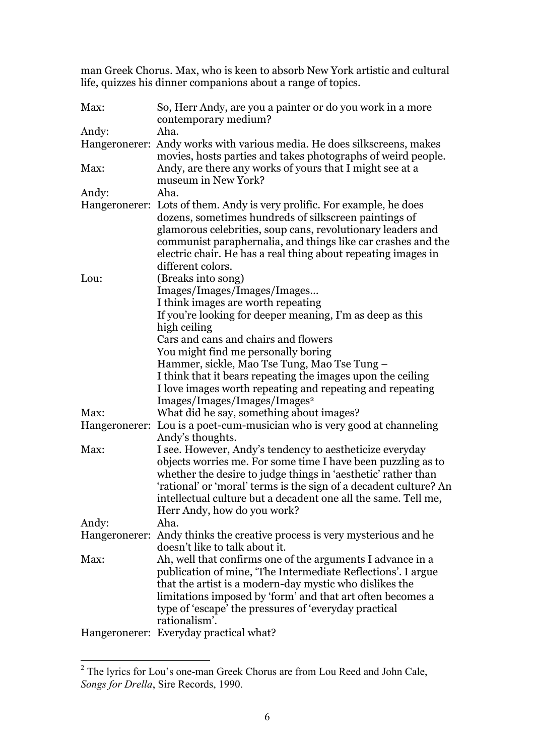man Greek Chorus. Max, who is keen to absorb New York artistic and cultural life, quizzes his dinner companions about a range of topics.

| Max:  | So, Herr Andy, are you a painter or do you work in a more<br>contemporary medium? |
|-------|-----------------------------------------------------------------------------------|
| Andy: | Aha.                                                                              |
|       | Hangeronerer: Andy works with various media. He does silkscreens, makes           |
|       | movies, hosts parties and takes photographs of weird people.                      |
| Max:  | Andy, are there any works of yours that I might see at a                          |
|       | museum in New York?                                                               |
| Andy: | Aha.                                                                              |
|       | Hangeronerer: Lots of them. Andy is very prolific. For example, he does           |
|       | dozens, sometimes hundreds of silkscreen paintings of                             |
|       | glamorous celebrities, soup cans, revolutionary leaders and                       |
|       | communist paraphernalia, and things like car crashes and the                      |
|       | electric chair. He has a real thing about repeating images in                     |
|       | different colors.                                                                 |
| Lou:  | (Breaks into song)                                                                |
|       | Images/Images/Images/Images                                                       |
|       | I think images are worth repeating                                                |
|       | If you're looking for deeper meaning, I'm as deep as this                         |
|       | high ceiling                                                                      |
|       | Cars and cans and chairs and flowers                                              |
|       | You might find me personally boring                                               |
|       | Hammer, sickle, Mao Tse Tung, Mao Tse Tung –                                      |
|       | I think that it bears repeating the images upon the ceiling                       |
|       | I love images worth repeating and repeating and repeating                         |
|       | Images/Images/Images/Images <sup>2</sup>                                          |
| Max:  | What did he say, something about images?                                          |
|       | Hangeronerer: Lou is a poet-cum-musician who is very good at channeling           |
|       | Andy's thoughts.                                                                  |
| Max:  | I see. However, Andy's tendency to aestheticize everyday                          |
|       | objects worries me. For some time I have been puzzling as to                      |
|       | whether the desire to judge things in 'aesthetic' rather than                     |
|       | 'rational' or 'moral' terms is the sign of a decadent culture? An                 |
|       | intellectual culture but a decadent one all the same. Tell me,                    |
|       | Herr Andy, how do you work?                                                       |
| Andy: | Aha.                                                                              |
|       | Hangeronerer: Andy thinks the creative process is very mysterious and he          |
|       | doesn't like to talk about it.                                                    |
| Max:  | Ah, well that confirms one of the arguments I advance in a                        |
|       | publication of mine, 'The Intermediate Reflections'. I argue                      |
|       | that the artist is a modern-day mystic who dislikes the                           |
|       | limitations imposed by 'form' and that art often becomes a                        |
|       | type of 'escape' the pressures of 'everyday practical                             |
|       | rationalism'.                                                                     |
|       | Hangeronerer: Everyday practical what?                                            |
|       |                                                                                   |

<sup>&</sup>lt;sup>2</sup> The lyrics for Lou's one-man Greek Chorus are from Lou Reed and John Cale, *Songs for Drella*, Sire Records, 1990.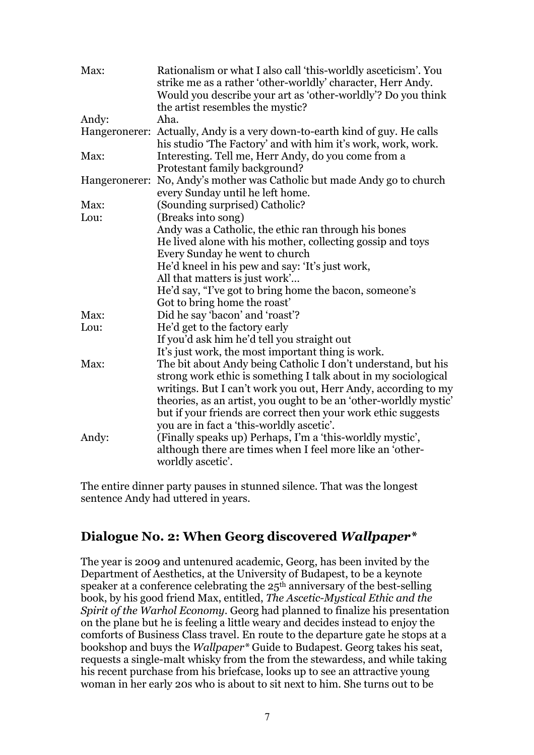| Max:  | Rationalism or what I also call 'this-worldly asceticism'. You<br>strike me as a rather 'other-worldly' character, Herr Andy.<br>Would you describe your art as 'other-worldly'? Do you think<br>the artist resembles the mystic? |
|-------|-----------------------------------------------------------------------------------------------------------------------------------------------------------------------------------------------------------------------------------|
| Andy: | Aha.                                                                                                                                                                                                                              |
|       | Hangeronerer: Actually, Andy is a very down-to-earth kind of guy. He calls<br>his studio 'The Factory' and with him it's work, work, work.                                                                                        |
| Max:  | Interesting. Tell me, Herr Andy, do you come from a<br>Protestant family background?                                                                                                                                              |
|       | Hangeronerer: No, Andy's mother was Catholic but made Andy go to church<br>every Sunday until he left home.                                                                                                                       |
| Max:  | (Sounding surprised) Catholic?                                                                                                                                                                                                    |
| Lou:  | (Breaks into song)                                                                                                                                                                                                                |
|       | Andy was a Catholic, the ethic ran through his bones                                                                                                                                                                              |
|       | He lived alone with his mother, collecting gossip and toys                                                                                                                                                                        |
|       | Every Sunday he went to church                                                                                                                                                                                                    |
|       | He'd kneel in his pew and say: 'It's just work,                                                                                                                                                                                   |
|       | All that matters is just work'                                                                                                                                                                                                    |
|       | He'd say, "I've got to bring home the bacon, someone's                                                                                                                                                                            |
|       | Got to bring home the roast'                                                                                                                                                                                                      |
| Max:  | Did he say 'bacon' and 'roast'?                                                                                                                                                                                                   |
| Lou:  | He'd get to the factory early                                                                                                                                                                                                     |
|       | If you'd ask him he'd tell you straight out                                                                                                                                                                                       |
|       | It's just work, the most important thing is work.                                                                                                                                                                                 |
| Max:  | The bit about Andy being Catholic I don't understand, but his                                                                                                                                                                     |
|       | strong work ethic is something I talk about in my sociological                                                                                                                                                                    |
|       | writings. But I can't work you out, Herr Andy, according to my                                                                                                                                                                    |
|       | theories, as an artist, you ought to be an 'other-worldly mystic'                                                                                                                                                                 |
|       | but if your friends are correct then your work ethic suggests                                                                                                                                                                     |
|       | you are in fact a 'this-worldly ascetic'.                                                                                                                                                                                         |
| Andy: | (Finally speaks up) Perhaps, I'm a 'this-worldly mystic',                                                                                                                                                                         |
|       | although there are times when I feel more like an 'other-                                                                                                                                                                         |
|       | worldly ascetic'.                                                                                                                                                                                                                 |

The entire dinner party pauses in stunned silence. That was the longest sentence Andy had uttered in years.

## **Dialogue No. 2: When Georg discovered** *Wallpaper\**

The year is 2009 and untenured academic, Georg, has been invited by the Department of Aesthetics, at the University of Budapest, to be a keynote speaker at a conference celebrating the  $25<sup>th</sup>$  anniversary of the best-selling book, by his good friend Max, entitled, *The Ascetic-Mystical Ethic and the Spirit of the Warhol Economy*. Georg had planned to finalize his presentation on the plane but he is feeling a little weary and decides instead to enjoy the comforts of Business Class travel. En route to the departure gate he stops at a bookshop and buys the *Wallpaper\** Guide to Budapest. Georg takes his seat, requests a single-malt whisky from the from the stewardess, and while taking his recent purchase from his briefcase, looks up to see an attractive young woman in her early 20s who is about to sit next to him. She turns out to be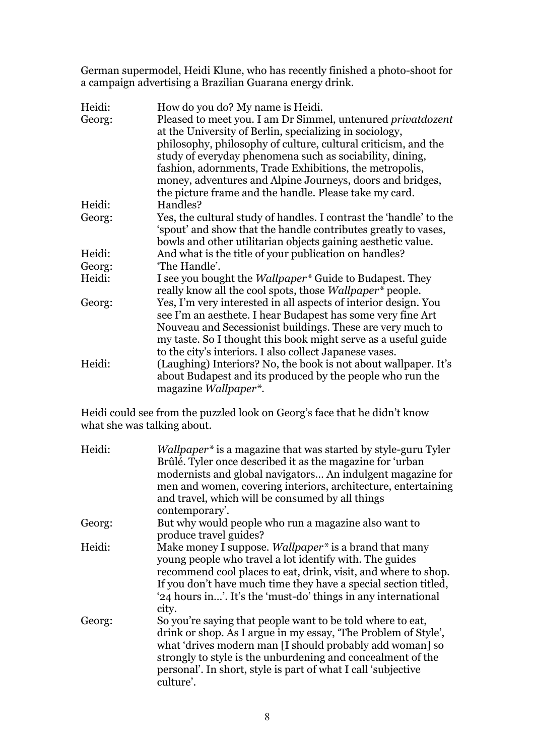German supermodel, Heidi Klune, who has recently finished a photo-shoot for a campaign advertising a Brazilian Guarana energy drink.

| Heidi: | How do you do? My name is Heidi.                                            |
|--------|-----------------------------------------------------------------------------|
| Georg: | Pleased to meet you. I am Dr Simmel, untenured privatdozent                 |
|        | at the University of Berlin, specializing in sociology,                     |
|        | philosophy, philosophy of culture, cultural criticism, and the              |
|        | study of everyday phenomena such as sociability, dining,                    |
|        | fashion, adornments, Trade Exhibitions, the metropolis,                     |
|        | money, adventures and Alpine Journeys, doors and bridges,                   |
|        | the picture frame and the handle. Please take my card.                      |
| Heidi: | Handles?                                                                    |
| Georg: | Yes, the cultural study of handles. I contrast the 'handle' to the          |
|        | 'spout' and show that the handle contributes greatly to vases,              |
|        | bowls and other utilitarian objects gaining aesthetic value.                |
| Heidi: | And what is the title of your publication on handles?                       |
| Georg: | 'The Handle'.                                                               |
| Heidi: | I see you bought the <i>Wallpaper</i> <sup>*</sup> Guide to Budapest. They  |
|        | really know all the cool spots, those <i>Wallpaper</i> <sup>*</sup> people. |
| Georg: | Yes, I'm very interested in all aspects of interior design. You             |
|        | see I'm an aesthete. I hear Budapest has some very fine Art                 |
|        | Nouveau and Secessionist buildings. These are very much to                  |
|        | my taste. So I thought this book might serve as a useful guide              |
|        | to the city's interiors. I also collect Japanese vases.                     |
| Heidi: | (Laughing) Interiors? No, the book is not about wallpaper. It's             |
|        | about Budapest and its produced by the people who run the                   |
|        | magazine Wallpaper*.                                                        |

Heidi could see from the puzzled look on Georg's face that he didn't know what she was talking about.

| Heidi: | <i>Wallpaper</i> <sup>*</sup> is a magazine that was started by style-guru Tyler<br>Brûlé. Tyler once described it as the magazine for 'urban<br>modernists and global navigators An indulgent magazine for<br>men and women, covering interiors, architecture, entertaining<br>and travel, which will be consumed by all things<br>contemporary'. |
|--------|----------------------------------------------------------------------------------------------------------------------------------------------------------------------------------------------------------------------------------------------------------------------------------------------------------------------------------------------------|
| Georg: | But why would people who run a magazine also want to<br>produce travel guides?                                                                                                                                                                                                                                                                     |
| Heidi: | Make money I suppose. Wallpaper <sup>*</sup> is a brand that many<br>young people who travel a lot identify with. The guides<br>recommend cool places to eat, drink, visit, and where to shop.<br>If you don't have much time they have a special section titled,<br>'24 hours in'. It's the 'must-do' things in any international<br>city.        |
| Georg: | So you're saying that people want to be told where to eat,<br>drink or shop. As I argue in my essay, 'The Problem of Style',<br>what 'drives modern man [I should probably add woman] so<br>strongly to style is the unburdening and concealment of the<br>personal'. In short, style is part of what I call 'subjective<br>culture'.              |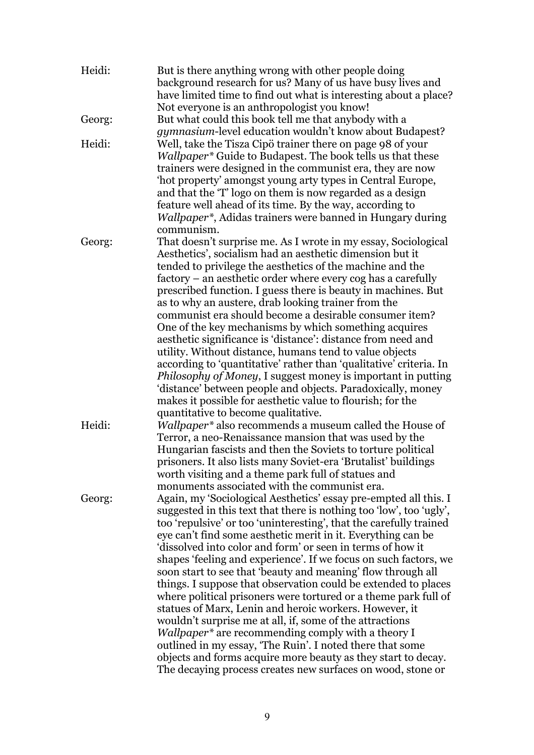| Heidi: | But is there anything wrong with other people doing<br>background research for us? Many of us have busy lives and<br>have limited time to find out what is interesting about a place? |
|--------|---------------------------------------------------------------------------------------------------------------------------------------------------------------------------------------|
|        | Not everyone is an anthropologist you know!                                                                                                                                           |
| Georg: | But what could this book tell me that anybody with a                                                                                                                                  |
|        | <i>gymnasium</i> -level education wouldn't know about Budapest?                                                                                                                       |
| Heidi: | Well, take the Tisza Cipö trainer there on page 98 of your                                                                                                                            |
|        | <i>Wallpaper</i> * Guide to Budapest. The book tells us that these                                                                                                                    |
|        | trainers were designed in the communist era, they are now                                                                                                                             |
|        | 'hot property' amongst young arty types in Central Europe,                                                                                                                            |
|        | and that the 'T' logo on them is now regarded as a design                                                                                                                             |
|        | feature well ahead of its time. By the way, according to                                                                                                                              |
|        | Wallpaper*, Adidas trainers were banned in Hungary during                                                                                                                             |
|        | communism.                                                                                                                                                                            |
| Georg: | That doesn't surprise me. As I wrote in my essay, Sociological                                                                                                                        |
|        | Aesthetics', socialism had an aesthetic dimension but it                                                                                                                              |
|        | tended to privilege the aesthetics of the machine and the                                                                                                                             |
|        | factory – an aesthetic order where every cog has a carefully                                                                                                                          |
|        | prescribed function. I guess there is beauty in machines. But                                                                                                                         |
|        | as to why an austere, drab looking trainer from the                                                                                                                                   |
|        | communist era should become a desirable consumer item?                                                                                                                                |
|        | One of the key mechanisms by which something acquires                                                                                                                                 |
|        | aesthetic significance is 'distance': distance from need and                                                                                                                          |
|        | utility. Without distance, humans tend to value objects                                                                                                                               |
|        | according to 'quantitative' rather than 'qualitative' criteria. In                                                                                                                    |
|        | Philosophy of Money, I suggest money is important in putting                                                                                                                          |
|        | 'distance' between people and objects. Paradoxically, money                                                                                                                           |
|        | makes it possible for aesthetic value to flourish; for the                                                                                                                            |
|        | quantitative to become qualitative.                                                                                                                                                   |
| Heidi: | Wallpaper* also recommends a museum called the House of                                                                                                                               |
|        | Terror, a neo-Renaissance mansion that was used by the                                                                                                                                |
|        | Hungarian fascists and then the Soviets to torture political                                                                                                                          |
|        | prisoners. It also lists many Soviet-era 'Brutalist' buildings                                                                                                                        |
|        | worth visiting and a theme park full of statues and                                                                                                                                   |
|        | monuments associated with the communist era.                                                                                                                                          |
| Georg: | Again, my 'Sociological Aesthetics' essay pre-empted all this. I                                                                                                                      |
|        | suggested in this text that there is nothing too 'low', too 'ugly',                                                                                                                   |
|        | too 'repulsive' or too 'uninteresting', that the carefully trained                                                                                                                    |
|        | eye can't find some aesthetic merit in it. Everything can be                                                                                                                          |
|        | dissolved into color and form' or seen in terms of how it                                                                                                                             |
|        | shapes 'feeling and experience'. If we focus on such factors, we                                                                                                                      |
|        | soon start to see that 'beauty and meaning' flow through all                                                                                                                          |
|        | things. I suppose that observation could be extended to places                                                                                                                        |
|        | where political prisoners were tortured or a theme park full of                                                                                                                       |
|        | statues of Marx, Lenin and heroic workers. However, it                                                                                                                                |
|        | wouldn't surprise me at all, if, some of the attractions                                                                                                                              |
|        | <i>Wallpaper</i> <sup>*</sup> are recommending comply with a theory I                                                                                                                 |
|        | outlined in my essay, 'The Ruin'. I noted there that some                                                                                                                             |
|        | objects and forms acquire more beauty as they start to decay.                                                                                                                         |
|        | The decaying process creates new surfaces on wood, stone or                                                                                                                           |